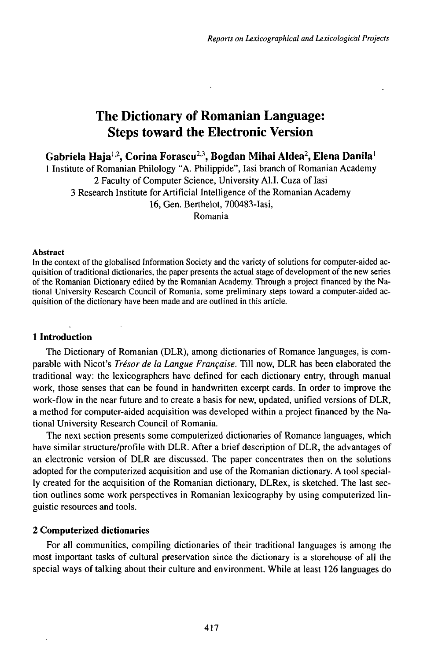# The Dictionary of Romanian Language: Steps toward the Electronic Version

**Gabriela Haja1,2 , Corina Forascu<sup>2</sup> ' 3 , Bogdan Mihai Aldea<sup>2</sup> , Elena Danila<sup>1</sup>**

<sup>1</sup> Institute of Romanian Philology "A. Philippide", Iasi branch of Romanian Academy 2 Faculty of Computer Science, University Al.I. Cuza of Iasi 3 Research Institute for Artificial Intelligence of the Romanian Academy 16, Gen. Berthelot, 700483-Iasi, Romania

## Abstract

In the context of the globalised Information Society and the variety of solutions for computer-aided acquisition of traditional dictionaries, the paper presents the actual stage of development of the new series of the Romanian Dictionary edited by the Romanian Academy. Through a project financed by the National University Research Council of Romania, some preliminary steps toward a computer-aided acquisition of the dictionary have been made and are outlined in this article.

# **1 Introduction**

The Dictionary of Romanian (DLR), among dictionaries of Romance languages, is comparable with Nicot's *Trésor de la Langue Française.* Till now, DLR has been elaborated the traditional way: the lexicographers have defined for each dictionary entry, through manual work, those senses that can be found in handwritten excerpt cards. In order to improve the work-flow in the near future and to create a basis for new, updated, unified versions of DLR, a method for computer-aided acquisition was developed within a project financed by the National University Research Council of Romania.

The next section presents some computerized dictionaries of Romance languages, which have similar structure/profile with DLR. After a brief description of DLR, the advantages of an electronic version of DLR are discussed. The paper concentrates then on the solutions adopted for the computerized acquisition and use of the Romanian dictionary. A tool specially created for the acquisition of the Romanian dictionary, DLRex, is sketched. The last section outlines some work perspectives in Romanian lexicography by using computerized linguistic resources and tools.

# **2 Computerized dictionaries**

For all communities, compiling dictionaries of their traditional languages is among the most important tasks of cultural preservation since the dictionary is a storehouse of all the special ways of talking about their culture and environment. While at least 126 languages do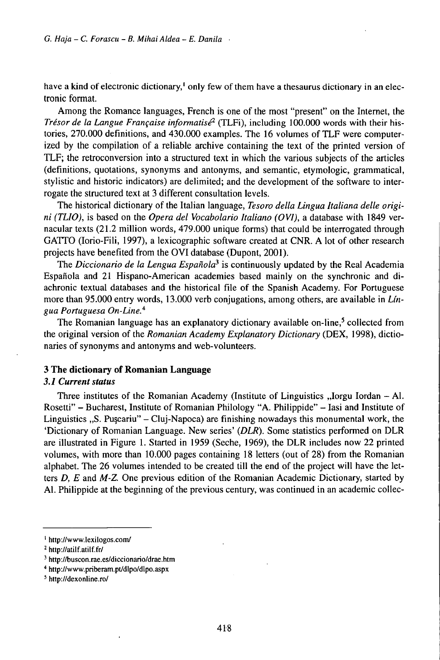have a kind of electronic dictionary,<sup>1</sup> only few of them have a thesaurus dictionary in an electronic format.

Among the Romance languages, French is one of the most "present" on the Internet, the *Trésor de la Langue Française informatisé<sup>2</sup>* (TLFi), including 100.000 words with their histories, 270.000 definitions, and 430.000 examples. The 16 volumes of TLF were computerized by the compilation of a reliable archive containing the text of the printed version of TLF; the retroconversion into a structured text in which the various subjects of the articles (definitions, quotations, synonyms and antonyms, and semantic, etymologic, grammatical, stylistic and historic indicators) are delimited; and the development of the software to interrogate the structured text at 3 different consultation levels.

The historical dictionary of the Italian language, *Tesoro della Lingua Italiana delle origini (TLIO),* is based on the *Opera del Vocabolario Italiano (OVI),* a database with 1849 vernacular texts (21.2 million words, 479.000 unique forms) that could be interrogated through GATTO (Iorio-Fili, 1997), a lexicographic software created at CNR. A lot of other research projects have benefited from the OVI database (Dupont, 2001).

The *Diccionario de la Lengua Española<sup>3</sup>* is continuously updated by the Real Academia Española and 21 Hispano-American academies based mainly on the synchronic and diachronic textual databases and the historical file of the Spanish Academy. For Portuguese more than 95.000 entry words, 13.000 verb conjugations, among others, are available in *Lingua Portuguesa On-Line.<sup>4</sup>*

The Romanian language has an explanatory dictionary available on-line,<sup>5</sup> collected from the original version of the *Romanian Academy Explanatory Dictionary* (DEX, 1998), dictionaries of synonyms and antonyms and web-volunteers.

# **3 The dictionary of Romanian Language**

## *3.1 Currentstatus*

Three institutes of the Romanian Academy (Institute of Linguistics "Iorgu Iordan - Al. Rosetti" - Bucharest, Institute of Romanian Philology "A. Philippide" - Iasi and Institute of Linguistics  $n$ , S. Puscariu" - Cluj-Napoca) are finishing nowadays this monumental work, the 'Dictionary of Romanian Language. New series' *{DLR).* Some statistics performed on DLR are illustrated in Figure 1. Started in 1959 (Seche, 1969), the DLR includes now 22 printed volumes, with more than 10.000 pages containing 18 letters (out of 28) from the Romanian alphabet. The 26 volumes intended to be created till the end of the project will have the letters *D, E* and *M-Z.* One previous edition of the Romanian Academic Dictionary, started by Al. Philippide at the beginning of the previous century, was continued in an academic collec-

<sup>1</sup> http://www.lexilogos.com/

<sup>&</sup>lt;sup>2</sup> http://atilf.atilf.fr/

<sup>&</sup>lt;sup>3</sup> http://buscon.rae.es/diccionario/drae.htm

<sup>4</sup> http://www.priberam.pt/dlpo/dlpo.aspx

<sup>5</sup> http://dexonline.ro/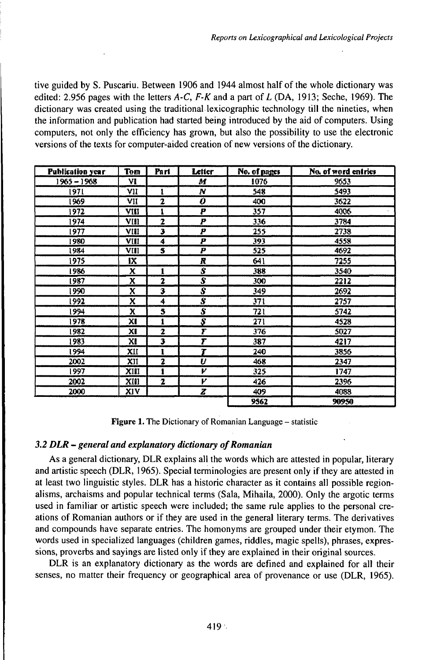tive guided by S. Puscariu. Between 1906 and 1944 almost half of the whole dictionary was edited: 2.956 pages with the letters  $A-C$ ,  $F-K$  and a part of  $L$  (DA, 1913; Seche, 1969). The dictionary was created using the traditional lexicographic technology till the nineties, when the information and publication had started being introduced by the aid of computers. Using computers, not only the efficiency has grown, but also the possibility to use the electronic versions of the texts for computer-aided creation of new versions of the dictionary.

| <b>Publication year</b> | Tem  | Part                    | Letter              | No. of pages | No. of word entries |
|-------------------------|------|-------------------------|---------------------|--------------|---------------------|
| 1965 – 1968             | ٧I   |                         | M                   | 1076         | 9653                |
| 1971                    | VII  | 1                       | Ν                   | 548          | 5493                |
| 1969                    | VII  | $\overline{\mathbf{z}}$ | Ô                   | 400          | 3622                |
| 1972                    | VIII | 1                       | P                   | 357          | 4006                |
| 1974                    | VIII | $\overline{z}$          | P                   | 336          | 3794                |
| 1977                    | VIII | з                       | P                   | 255          | 2738                |
| 1980                    | VIII | 4                       | P                   | 393          | 4558                |
| 1984                    | VIII | 5                       | P                   | 525          | 4692                |
| 1975                    | IX   |                         | R                   | 641          | 7255                |
| 1986                    | x    | 1                       | S                   | 388          | 3540                |
| 1987                    | x    | 2                       | $\overline{\bm{s}}$ | 300          | 2212                |
| 1990                    | X    | 3                       | $\overline{s}$      | 349          | 2692                |
| 1992                    | x    | 4                       | $\overline{s}$      | 371          | 2757                |
| 1994                    | x    | 5                       | S                   | 72 I         | 5742                |
| 1978.                   | XI   | 1                       | S                   | 271          | 4528                |
| 1982                    | ΧI   | $\mathbf{z}$            | Ŧ                   | 376          | 5027                |
| 1983                    | XI   | з                       | Т                   | 387          | 4217                |
| 1994                    | XII  | 1                       | Ŧ                   | 240          | 3856                |
| 2002                    | XII  | 2                       | U                   | 468          | 2347                |
| 1997                    | XIII | I                       | v                   | 325          | 1747                |
| 2002                    | XIII | 2                       | ν                   | 426          | 2396                |
| 2000                    | XIV  |                         | z                   | 409          | 4088                |
|                         |      |                         |                     | 9562         | 90950               |

**Figure 1.** The Dictionary of Romanian Language – statistic

# *3.2 DLR - general and expUmatory dictionary ofRomanian*

As a general dictionary, DLR explains all the words which are attested in popular, literary and artistic speech (DLR, 1965). Special terminologies are present only if they are attested in at least two linguistic styles. DLR has a historic character as it contains all possible regionalisms, archaisms and popular technical terms (Sala, Mihaila, 2000). Only the argotic terms used in familiar or artistic speech were included; the same rule applies to the personal creations of Romanian authors or if they are used in the general literary terms. The derivatives and compounds have separate entries. The homonyms are grouped under their etymon. The words used in specialized languages (children games, riddles, magic spells), phrases, expressions, proverbs and sayings are listed only if they are explained in their original sources.

DLR is an explanatory dictionary as the words are defined and explained for all their senses, no matter their frequency or geographical area of provenance or use (DLR, 1965).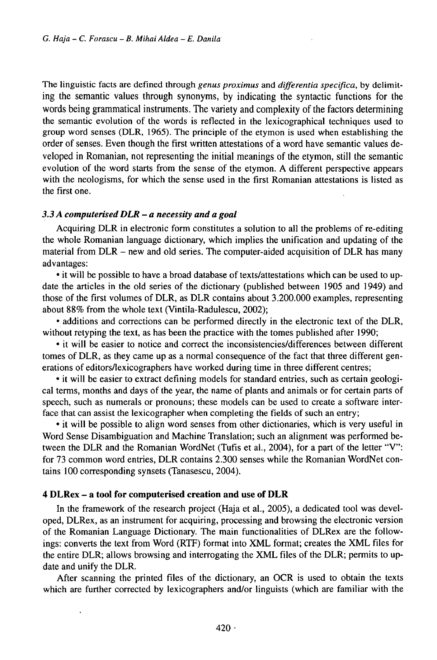The linguistic facts are defined through *genus proximus* and *differentia specifica,* by delimiting the semantic values through synonyms, by indicating the syntactic functions for the words being grammatical instruments. The variety and complexity of the factors determining the semantic evolution of the words is reflected in the lexicographical techniques used to group word senses (DLR, 1965). The principle of the etymon is used when establishing the order of senses. Even though the first written attestations of a word have semantic values developed in Romanian, not representing the initial meanings of the etymon, still the semantic evolution of the word starts from the sense of the etymon. A different perspective appears with the neologisms, for which the sense used in the first Romanian attestations is listed as the first one.

## *3.3 <sup>A</sup> computerised DLR - <sup>a</sup> necessity and <sup>a</sup>goal*

Acquiring DLR in electronic form constitutes a solution to all the problems of re-editing the whole Romanian language dictionary, which implies the unification and updating of the material from DLR – new and old series. The computer-aided acquisition of DLR has many advantages:

• it will be possible to have a broad database of texts/attestations which can be used to update the articles in the old series of the dictionary (published between 1905 and 1949) and those of the first volumes of DLR, as DLR contains about 3.200.000 examples, representing about 88% from the whole text (Vintila-Radulescu, 2002);

• additions and corrections can be performed directly in the electronic text of the DLR, without retyping the text, as has been the practice with the tomes published after 1990;

• it will be easier to notice and correct the inconsistencies/differences between different tomes of DLR, as they came up as a normal consequence of the fact that three different generations of editors/lexicographers have worked during time in three different centres;

• it will be easier to extract defining models for standard entries, such as certain geological terms, months and days of the year, the name of plants and animals or for certain parts of speech, such as numerals or pronouns; these models can be used to create a software interface that can assist the lexicographer when completing the fields of such an entry;

• it will be possible to align word senses from other dictionaries, which is very useful in Word Sense Disambiguation and Machine Translation; such an alignment was performed between the DLR and the Romanian WordNet (Tufis et al., 2004), for a part of the letter "V": for 73 common word entries, DLR contains 2.300 senses while the Romanian WordNet contains 100 corresponding synsets (Tanasescu, 2004).

# **<sup>4</sup> DLRex** - **<sup>a</sup> tool for computerised creation and use of DLR**

In the framework of the research project (Haja et al., 2005), a dedicated tool was developed, DLRex, as an instrument for acquiring, processing and browsing the electronic version of the Romanian Language Dictionary. The main functionalities of DLRex are the followings: converts the text from Word (RTF) format into XML format; creates the XML files for the entire DLR; allows browsing and interrogating the XML files of the DLR; permits to update and unify the DLR.

After scanning the printed files of the dictionary, an OCR is used to obtain the texts which are further corrected by lexicographers and/or linguists (which are familiar with the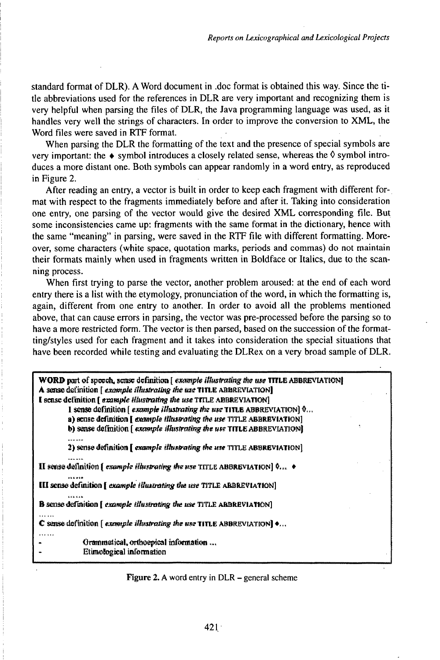standard format of DLR). A Word document in .doc format is obtained this way. Since the title abbreviations used for the references in DLR are very important and recognizing them is very helpful when parsing the files of DLR, the Java programming language was used, as it handles very well the strings of characters. In order to improve the conversion to XML, the Word files were saved in RTF format.

When parsing the DLR the formatting of the text and the presence of special symbols are very important: the  $\bullet$  symbol introduces a closely related sense, whereas the  $\Diamond$  symbol introduces a more distant one. Both symbols can appear randomly in a word entry, as reproduced in Figure 2.

After reading an entry, a vector is built in order to keep each fragment with different format with respect to the fragments immediately before and after it. Taking into consideration one entry, one parsing of the vector would give the desired XML corresponding file. But some inconsistencies came up: fragments with the same format in the dictionary, hence with the same "meaning" in parsing, were saved in the RTF file with different formatting. Moreover, some characters (white space, quotation marks, periods and commas) do not maintain their formats mainly when used in fragments written in Boldface or Italics, due to the scanning process.

When first trying to parse the vector, another problem aroused: at the end of each word entry there is a list with the etymology, pronunciation of the word, in which the formatting is, again, different from one entry to another. In order to avoid all the problems mentioned above, that can cause errors in parsing, the vector was pre-processed before the parsing so to have a more restricted form. The vector is then parsed, based on the succession of the formatting/styles used for each fragment and it takes into consideration the special situations that have been recorded while testing and evaluating the DLRex on a very broad sample of DLR.

| WORD part of speech, sense definition [example illustrating the use TITLE ABBREVIATION]<br>A sense definition [ example <i>illustrating the use</i> TITLE ABBREVIATION]<br>I sense definition [ example illustrating the use TITLE ABBREVIATION]<br>1 sense definition $\lceil$ example illustrating the use TITLE ABBREVIATION $\lceil$ 0<br>a) sense definition [ example illustrating the use TITLE ABBRBVIATION]<br>b) sense definition [ example illustrating the use TITLE ABBREVIATION] |  |  |  |  |
|------------------------------------------------------------------------------------------------------------------------------------------------------------------------------------------------------------------------------------------------------------------------------------------------------------------------------------------------------------------------------------------------------------------------------------------------------------------------------------------------|--|--|--|--|
| 2) sense definition [ example illustrating the use TITLE ABBREVIATION]                                                                                                                                                                                                                                                                                                                                                                                                                         |  |  |  |  |
| II sense definition [ example illustrating the use TITLE ABBREVIATION] $\phi_{\text{rec}} \rightarrow$                                                                                                                                                                                                                                                                                                                                                                                         |  |  |  |  |
| <br>III sense definition [ example illustrating the use TITLE ARBREVIATION]                                                                                                                                                                                                                                                                                                                                                                                                                    |  |  |  |  |
| <b>KAN KAN</b><br><b>B</b> sense definition [ example illustrating the use TITLE ARBREVIATION]                                                                                                                                                                                                                                                                                                                                                                                                 |  |  |  |  |
| $C$ sense definition [example <i>illustrating the use</i> TITLE ABBREVIATION] $\bullet$                                                                                                                                                                                                                                                                                                                                                                                                        |  |  |  |  |
| Grammatical, orthospical information<br>Etimological information                                                                                                                                                                                                                                                                                                                                                                                                                               |  |  |  |  |

Figure 2. A word entry in DLR – general scheme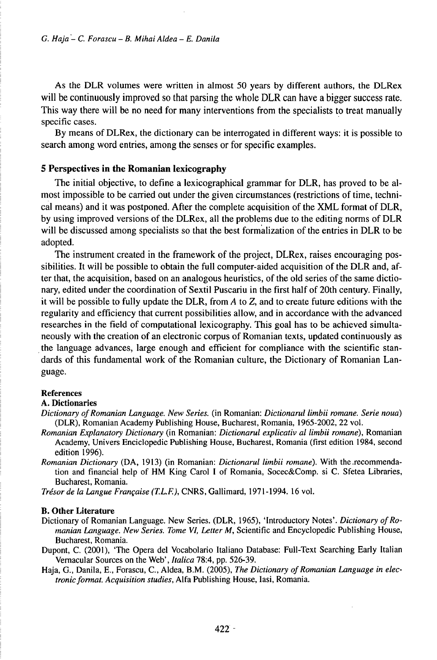As the DLR volumes were written in almost 50 years by different authors, the DLRex will be continuously improved so that parsing the whole DLR can have a bigger success rate. This way there will be no need for many interventions from the specialists to treat manually specific cases.

By means ofDLRex, the dictionary can be interrogated in different ways: it is possible to search among word entries, among the senses or for specific examples.

# **5 Perspectives in the Romanian lexicography**

The initial objective, to define a lexicographical grammar for DLR, has proved to be almost impossible to be carried out under the given circumstances (restrictions of time, technical means) and it was postponed. After the complete acquisition of the XML format of DLR, by using improved versions of the DLRex, all the problems due to the editing norms of DLR will be discussed among specialists so that the best formalization of the entries in DLR to be adopted.

The instrument created in the framework of the project, DLRex, raises encouraging possibilities. It will be possible to obtain the full computer-aided acquisition of the DLR and, after that, the acquisition, based on an analogous heuristics, of the old series of the same dictionary, edited under the coordination of Sextil Puscariu in the first half of 20th century. Finally, it will be possible to fully update the DLR, from *A* to Z, and to create future editions with the regularity and efficiency that current possibilities allow, and in accordance with the advanced researches in the field of computational lexicography. This goal has to be achieved simultaneously with the creation of an electronic corpus of Romanian texts, updated continuously as the language advances, large enough and efficient for compliance with the scientific standards of this fundamental work of the Romanian culture, the Dictionary of Romanian Language.

#### References

#### A. Dictionaries

- *Dictionary ofRomanian Language. New Series,* (in Romanian: *Dictionarul limbii romane. Serie noua)* (DLR), Romanian Academy Publishing House, Bucharest, Romania, 1965-2002, 22 vol.
- *Romanian Explanatory Dictionary* (in Romanian: *Dictionarul explicativ al limbii romane),* Romanian Academy, Univers Enciclopédie Publishing House, Bucharest, Romania (first edition 1984, second edition 1996).
- *Romanian Dictionary* (DA, 1913) (in Romanian: *Dictionarul limbii romane).* With the.recommendation and financial help of HM King Carol <sup>I</sup> of Romania, Socec&Comp. si C. Sfetea Libraries, Bucharest, Romania.

*Trésorde la Langue Française (T.L.F.),* CNRS, Gallimard, 1971-1994. 16 vol.

#### B. **Other Literature**

- Dictionary of Romanian Language. New Series. (DLR, 1965), 'Introductory Notes'. *Dictionary ofRomanian Language. New Series. Tome VI, Letter M,* Scientific and Encyclopedic Publishing House, Bucharest, Romania.
- Dupont, C. (2001), 'The Opera del Vocabolario Italiano Database: Full-Text Searching Early Italian Vernacular Sources on the Web', *Italica* 78:4, pp. 526-39.
- Haja, G., Danila, E., Forascu, C., Aldea, B.M. (2005), *The Dictionary ofRomanian Language in electronic format. Acquisition studies, Alfa Publishing House, Iasi, Romania.*